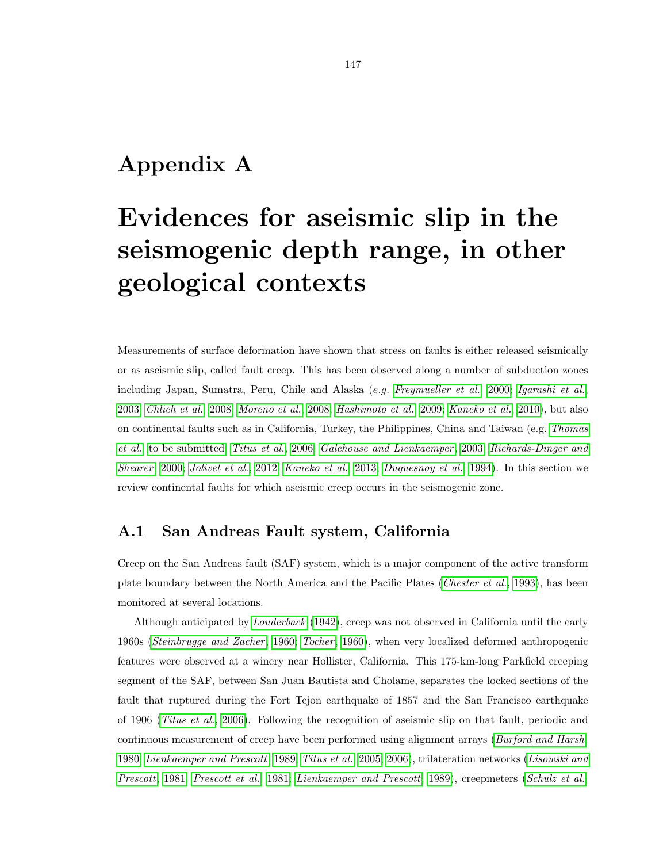# Appendix A

# Evidences for aseismic slip in the seismogenic depth range, in other geological contexts

Measurements of surface deformation have shown that stress on faults is either released seismically or as aseismic slip, called fault creep. This has been observed along a number of subduction zones including Japan, Sumatra, Peru, Chile and Alaska (e.g. Freymueller et al., 2000; Igarashi et al., 2003; Chlieh et al., 2008; Moreno et al., 2008; Hashimoto et al., 2009; Kaneko et al., 2010), but also on continental faults such as in California, Turkey, the Philippines, China and Taiwan (e.g. Thomas et al., to be submitted; Titus et al., 2006; Galehouse and Lienkaemper , 2003; Richards-Dinger and Shearer, 2000; Jolivet et al., 2012; Kaneko et al., 2013; Duquesnoy et al., 1994). In this section we review continental faults for which aseismic creep occurs in the seismogenic zone.

#### A.1 San Andreas Fault system, California

Creep on the San Andreas fault (SAF) system, which is a major component of the active transform plate boundary between the North America and the Pacific Plates (*Chester et al.*, 1993), has been monitored at several locations.

Although anticipated by Louderback (1942), creep was not observed in California until the early 1960s (Steinbrugge and Zacher, 1960; Tocher, 1960), when very localized deformed anthropogenic features were observed at a winery near Hollister, California. This 175-km-long Parkfield creeping segment of the SAF, between San Juan Bautista and Cholame, separates the locked sections of the fault that ruptured during the Fort Tejon earthquake of 1857 and the San Francisco earthquake of 1906 (Titus et al., 2006). Following the recognition of aseismic slip on that fault, periodic and continuous measurement of creep have been performed using alignment arrays (*Burford and Harsh*, 1980; Lienkaemper and Prescott, 1989; Titus et al., 2005, 2006), trilateration networks (Lisowski and Prescott, 1981; Prescott et al., 1981; Lienkaemper and Prescott, 1989), creepmeters (Schulz et al.,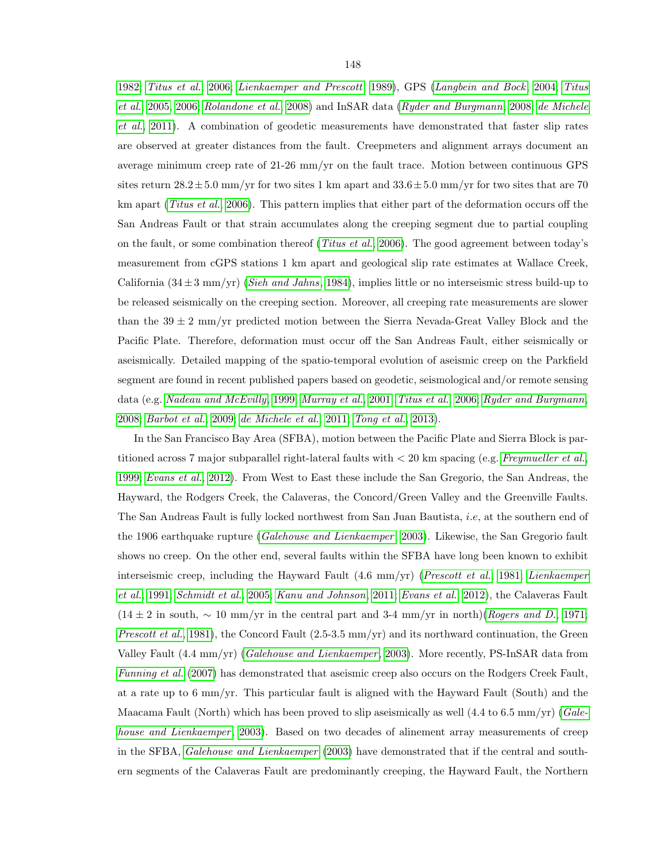1982; Titus et al., 2006; Lienkaemper and Prescott, 1989), GPS (Langbein and Bock , 2004; Titus et al., 2005, 2006; Rolandone et al., 2008) and InSAR data (Ryder and Burgmann, 2008; de Michele et al., 2011). A combination of geodetic measurements have demonstrated that faster slip rates are observed at greater distances from the fault. Creepmeters and alignment arrays document an average minimum creep rate of 21-26 mm/yr on the fault trace. Motion between continuous GPS sites return  $28.2 \pm 5.0$  mm/yr for two sites 1 km apart and  $33.6 \pm 5.0$  mm/yr for two sites that are 70 km apart (Titus et al., 2006). This pattern implies that either part of the deformation occurs off the San Andreas Fault or that strain accumulates along the creeping segment due to partial coupling on the fault, or some combination thereof (*Titus et al.*, 2006). The good agreement between today's measurement from cGPS stations 1 km apart and geological slip rate estimates at Wallace Creek, California  $(34\pm3 \text{ mm/yr})$  (*Sieh and Jahns*, 1984), implies little or no interseismic stress build-up to be released seismically on the creeping section. Moreover, all creeping rate measurements are slower than the  $39 \pm 2$  mm/yr predicted motion between the Sierra Nevada-Great Valley Block and the Pacific Plate. Therefore, deformation must occur off the San Andreas Fault, either seismically or aseismically. Detailed mapping of the spatio-temporal evolution of aseismic creep on the Parkfield segment are found in recent published papers based on geodetic, seismological and/or remote sensing data (e.g. Nadeau and McEvilly, 1999; Murray et al., 2001; Titus et al., 2006; Ryder and Burgmann, 2008; Barbot et al., 2009; de Michele et al., 2011; Tong et al., 2013).

In the San Francisco Bay Area (SFBA), motion between the Pacific Plate and Sierra Block is partitioned across 7 major subparallel right-lateral faults with < 20 km spacing (e.g. Freymueller et al., 1999; Evans et al., 2012). From West to East these include the San Gregorio, the San Andreas, the Hayward, the Rodgers Creek, the Calaveras, the Concord/Green Valley and the Greenville Faults. The San Andreas Fault is fully locked northwest from San Juan Bautista, i.e, at the southern end of the 1906 earthquake rupture (Galehouse and Lienkaemper, 2003). Likewise, the San Gregorio fault shows no creep. On the other end, several faults within the SFBA have long been known to exhibit interseismic creep, including the Hayward Fault (4.6 mm/yr) (Prescott et al., 1981; Lienkaemper et al., 1991; Schmidt et al., 2005; Kanu and Johnson, 2011; Evans et al., 2012), the Calaveras Fault  $(14 \pm 2 \text{ in south}, \sim 10 \text{ mm/yr}$  in the central part and 3-4 mm/yr in north)(Rogers and D., 1971; *Prescott et al.*, 1981), the Concord Fault  $(2.5-3.5 \text{ mm/yr})$  and its northward continuation, the Green Valley Fault (4.4 mm/yr) (Galehouse and Lienkaemper, 2003). More recently, PS-InSAR data from Funning et al. (2007) has demonstrated that aseismic creep also occurs on the Rodgers Creek Fault, at a rate up to 6 mm/yr. This particular fault is aligned with the Hayward Fault (South) and the Maacama Fault (North) which has been proved to slip assigmically as well  $(4.4 \text{ to } 6.5 \text{ mm/yr})$  (Galehouse and Lienkaemper, 2003). Based on two decades of alinement array measurements of creep in the SFBA, Galehouse and Lienkaemper (2003) have demonstrated that if the central and southern segments of the Calaveras Fault are predominantly creeping, the Hayward Fault, the Northern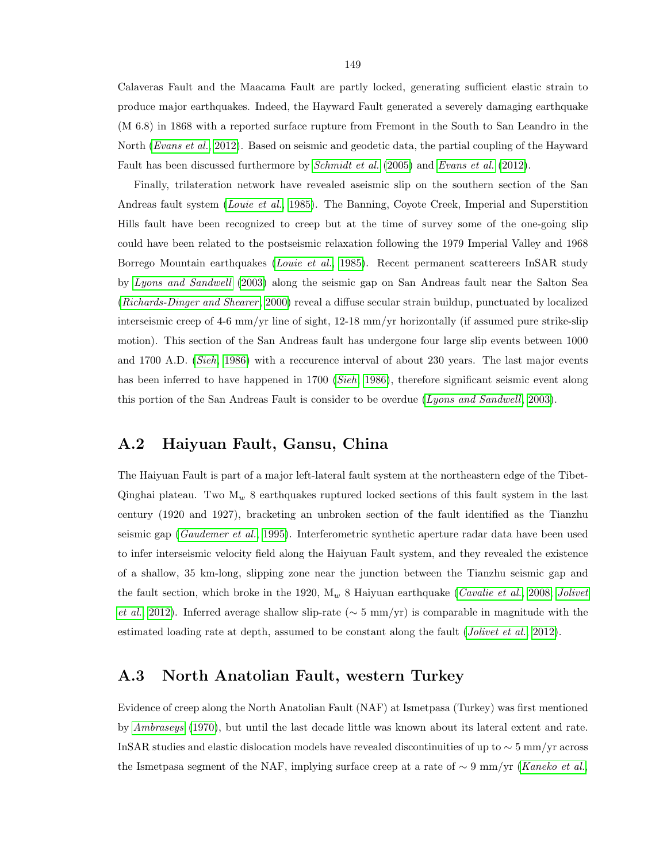Calaveras Fault and the Maacama Fault are partly locked, generating sufficient elastic strain to produce major earthquakes. Indeed, the Hayward Fault generated a severely damaging earthquake (M 6.8) in 1868 with a reported surface rupture from Fremont in the South to San Leandro in the North (*Evans et al.*, 2012). Based on seismic and geodetic data, the partial coupling of the Hayward Fault has been discussed furthermore by *Schmidt et al.* (2005) and *Evans et al.* (2012).

Finally, trilateration network have revealed aseismic slip on the southern section of the San Andreas fault system (*Louie et al.*, 1985). The Banning, Coyote Creek, Imperial and Superstition Hills fault have been recognized to creep but at the time of survey some of the one-going slip could have been related to the postseismic relaxation following the 1979 Imperial Valley and 1968 Borrego Mountain earthquakes (Louie et al., 1985). Recent permanent scattereers InSAR study by Lyons and Sandwell (2003) along the seismic gap on San Andreas fault near the Salton Sea (Richards-Dinger and Shearer, 2000) reveal a diffuse secular strain buildup, punctuated by localized interseismic creep of 4-6 mm/yr line of sight, 12-18 mm/yr horizontally (if assumed pure strike-slip motion). This section of the San Andreas fault has undergone four large slip events between 1000 and 1700 A.D. (Sieh, 1986) with a reccurence interval of about 230 years. The last major events has been inferred to have happened in 1700 (Sieh, 1986), therefore significant seismic event along this portion of the San Andreas Fault is consider to be overdue (Lyons and Sandwell, 2003).

#### A.2 Haiyuan Fault, Gansu, China

The Haiyuan Fault is part of a major left-lateral fault system at the northeastern edge of the Tibet-Qinghai plateau. Two  $M_w$  8 earthquakes ruptured locked sections of this fault system in the last century (1920 and 1927), bracketing an unbroken section of the fault identified as the Tianzhu seismic gap (Gaudemer et al., 1995). Interferometric synthetic aperture radar data have been used to infer interseismic velocity field along the Haiyuan Fault system, and they revealed the existence of a shallow, 35 km-long, slipping zone near the junction between the Tianzhu seismic gap and the fault section, which broke in the 1920,  $M_w$  8 Haiyuan earthquake (Cavalie et al., 2008; Jolivet et al., 2012). Inferred average shallow slip-rate ( $\sim$  5 mm/yr) is comparable in magnitude with the estimated loading rate at depth, assumed to be constant along the fault (*Jolivet et al.*, 2012).

#### A.3 North Anatolian Fault, western Turkey

Evidence of creep along the North Anatolian Fault (NAF) at Ismetpasa (Turkey) was first mentioned by Ambraseys (1970), but until the last decade little was known about its lateral extent and rate. InSAR studies and elastic dislocation models have revealed discontinuities of up to ∼ 5 mm/yr across the Ismetpasa segment of the NAF, implying surface creep at a rate of  $\sim$  9 mm/yr (Kaneko et al.,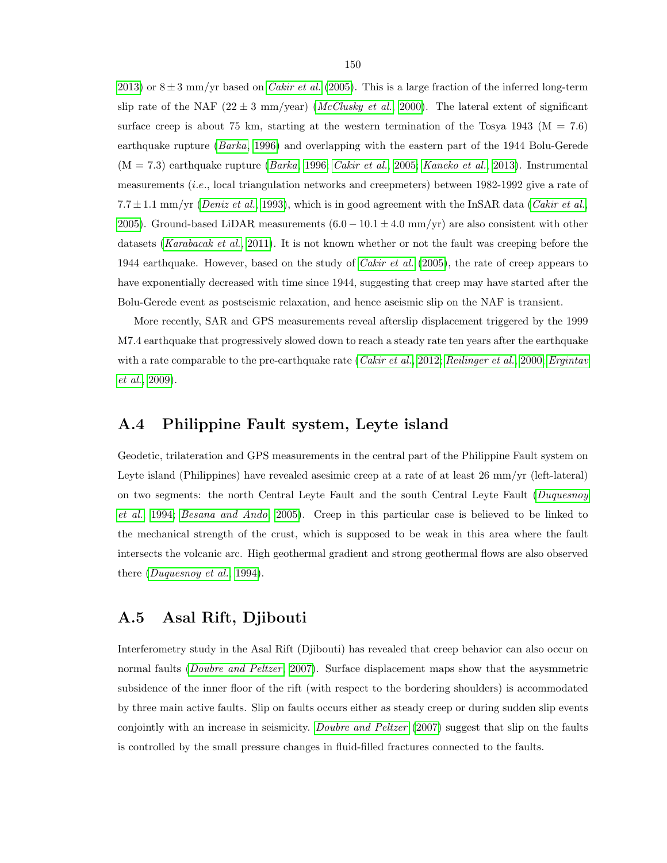2013) or  $8 \pm 3$  mm/yr based on *Cakir et al.* (2005). This is a large fraction of the inferred long-term slip rate of the NAF (22  $\pm$  3 mm/year) (*McClusky et al.*, 2000). The lateral extent of significant surface creep is about 75 km, starting at the western termination of the Tosya 1943 ( $M = 7.6$ ) earthquake rupture (Barka, 1996) and overlapping with the eastern part of the 1944 Bolu-Gerede  $(M = 7.3)$  earthquake rupture (*Barka*, 1996; *Cakir et al.*, 2005; *Kaneko et al.*, 2013). Instrumental measurements (i.e., local triangulation networks and creepmeters) between 1982-1992 give a rate of 7.7 $\pm$ 1.1 mm/yr (Deniz et al., 1993), which is in good agreement with the InSAR data (Cakir et al., 2005). Ground-based LiDAR measurements  $(6.0 - 10.1 \pm 4.0 \text{ mm/yr})$  are also consistent with other datasets (Karabacak et al., 2011). It is not known whether or not the fault was creeping before the 1944 earthquake. However, based on the study of *Cakir et al.* (2005), the rate of creep appears to have exponentially decreased with time since 1944, suggesting that creep may have started after the Bolu-Gerede event as postseismic relaxation, and hence aseismic slip on the NAF is transient.

More recently, SAR and GPS measurements reveal afterslip displacement triggered by the 1999 M7.4 earthquake that progressively slowed down to reach a steady rate ten years after the earthquake with a rate comparable to the pre-earthquake rate (*Cakir et al.*, 2012; Reilinger et al., 2000; Ergintav et al., 2009).

#### A.4 Philippine Fault system, Leyte island

Geodetic, trilateration and GPS measurements in the central part of the Philippine Fault system on Leyte island (Philippines) have revealed asesimic creep at a rate of at least 26 mm/yr (left-lateral) on two segments: the north Central Leyte Fault and the south Central Leyte Fault (Duquesnoy et al., 1994; Besana and Ando, 2005). Creep in this particular case is believed to be linked to the mechanical strength of the crust, which is supposed to be weak in this area where the fault intersects the volcanic arc. High geothermal gradient and strong geothermal flows are also observed there (Duquesnoy et al., 1994).

#### A.5 Asal Rift, Djibouti

Interferometry study in the Asal Rift (Djibouti) has revealed that creep behavior can also occur on normal faults (*Doubre and Peltzer*, 2007). Surface displacement maps show that the asysmmetric subsidence of the inner floor of the rift (with respect to the bordering shoulders) is accommodated by three main active faults. Slip on faults occurs either as steady creep or during sudden slip events conjointly with an increase in seismicity. *Doubre and Peltzer* (2007) suggest that slip on the faults is controlled by the small pressure changes in fluid-filled fractures connected to the faults.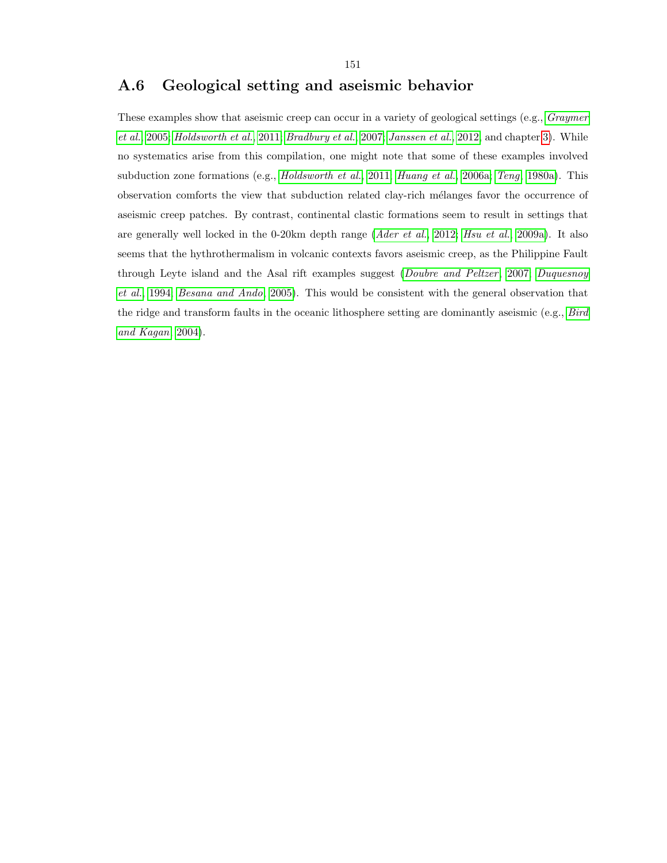## A.6 Geological setting and aseismic behavior

These examples show that aseismic creep can occur in a variety of geological settings (e.g., *Graymer* et al., 2005; Holdsworth et al., 2011; Bradbury et al., 2007; Janssen et al., 2012, and chapter 3). While no systematics arise from this compilation, one might note that some of these examples involved subduction zone formations (e.g., *Holdsworth et al.*, 2011; *Huang et al.*, 2006a; *Teng*, 1980a). This observation comforts the view that subduction related clay-rich mélanges favor the occurrence of aseismic creep patches. By contrast, continental clastic formations seem to result in settings that are generally well locked in the 0-20km depth range (*Ader et al.*, 2012; *Hsu et al.*, 2009a). It also seems that the hythrothermalism in volcanic contexts favors aseismic creep, as the Philippine Fault through Leyte island and the Asal rift examples suggest (Doubre and Peltzer, 2007; Duquesnoy et al., 1994; Besana and Ando, 2005). This would be consistent with the general observation that the ridge and transform faults in the oceanic lithosphere setting are dominantly aseismic (e.g., Bird and Kagan, 2004).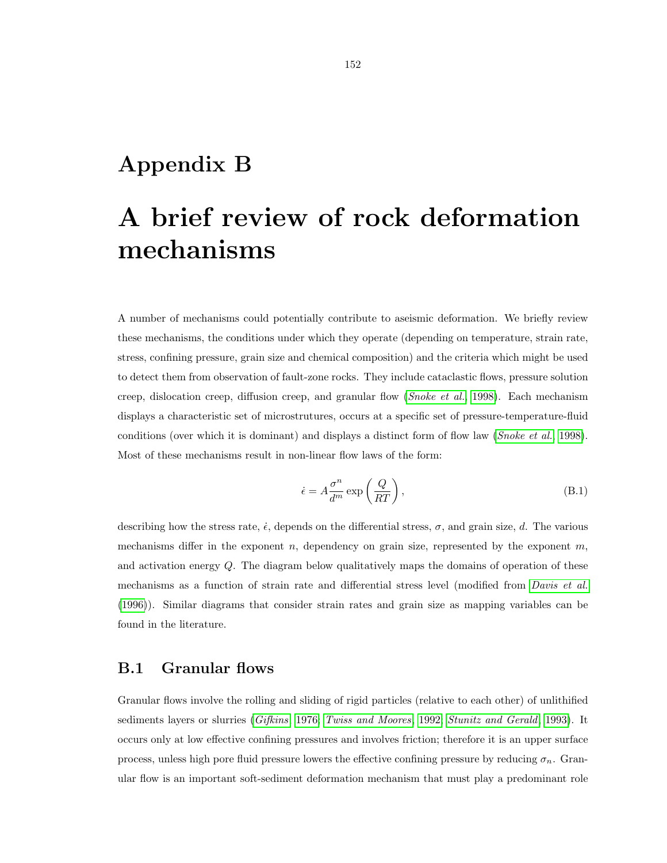# Appendix B

# A brief review of rock deformation mechanisms

A number of mechanisms could potentially contribute to aseismic deformation. We briefly review these mechanisms, the conditions under which they operate (depending on temperature, strain rate, stress, confining pressure, grain size and chemical composition) and the criteria which might be used to detect them from observation of fault-zone rocks. They include cataclastic flows, pressure solution creep, dislocation creep, diffusion creep, and granular flow (Snoke et al., 1998). Each mechanism displays a characteristic set of microstrutures, occurs at a specific set of pressure-temperature-fluid conditions (over which it is dominant) and displays a distinct form of flow law (*Snoke et al.*, 1998). Most of these mechanisms result in non-linear flow laws of the form:

$$
\dot{\epsilon} = A \frac{\sigma^n}{d^m} \exp\left(\frac{Q}{RT}\right),\tag{B.1}
$$

describing how the stress rate,  $\dot{\epsilon}$ , depends on the differential stress,  $\sigma$ , and grain size, d. The various mechanisms differ in the exponent  $n$ , dependency on grain size, represented by the exponent  $m$ , and activation energy Q. The diagram below qualitatively maps the domains of operation of these mechanisms as a function of strain rate and differential stress level (modified from *Davis et al.* (1996)). Similar diagrams that consider strain rates and grain size as mapping variables can be found in the literature.

## B.1 Granular flows

Granular flows involve the rolling and sliding of rigid particles (relative to each other) of unlithified sediments layers or slurries (Gifkins, 1976; Twiss and Moores, 1992; Stunitz and Gerald, 1993). It occurs only at low effective confining pressures and involves friction; therefore it is an upper surface process, unless high pore fluid pressure lowers the effective confining pressure by reducing  $\sigma_n$ . Granular flow is an important soft-sediment deformation mechanism that must play a predominant role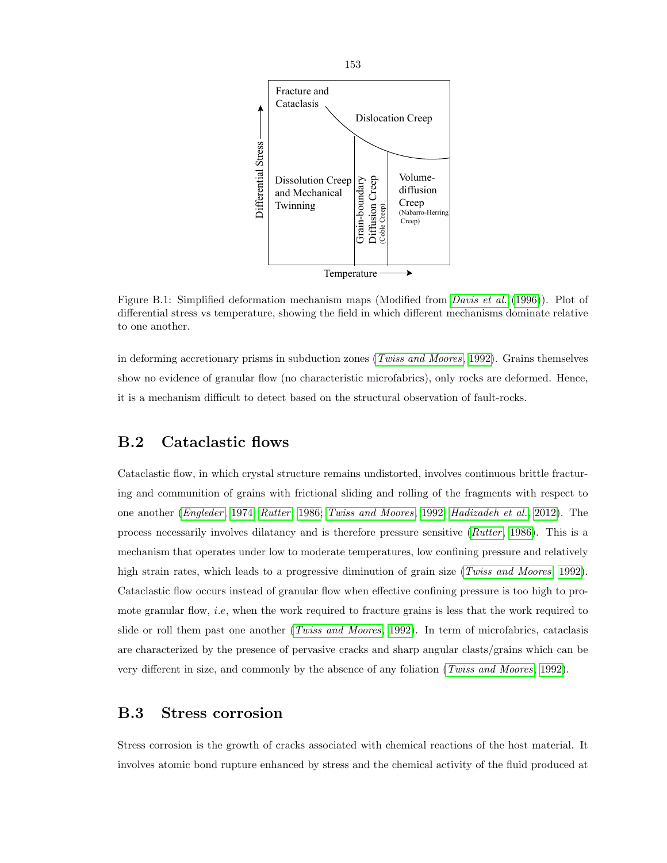

Figure B.1: Simplified deformation mechanism maps (Modified from *Davis et al.* (1996)). Plot of differential stress vs temperature, showing the field in which different mechanisms dominate relative to one another.

in deforming accretionary prisms in subduction zones (*Twiss and Moores*, 1992). Grains themselves show no evidence of granular flow (no characteristic microfabrics), only rocks are deformed. Hence, it is a mechanism difficult to detect based on the structural observation of fault-rocks.

### B.2 Cataclastic flows

Cataclastic flow, in which crystal structure remains undistorted, involves continuous brittle fracturing and communition of grains with frictional sliding and rolling of the fragments with respect to one another (*Engleder*, 1974; *Rutter*, 1986; *Twiss and Moores*, 1992; *Hadizadeh et al.*, 2012). The process necessarily involves dilatancy and is therefore pressure sensitive (Rutter, 1986). This is a mechanism that operates under low to moderate temperatures, low confining pressure and relatively high strain rates, which leads to a progressive diminution of grain size (*Twiss and Moores*, 1992). Cataclastic flow occurs instead of granular flow when effective confining pressure is too high to promote granular flow, *i.e*, when the work required to fracture grains is less that the work required to slide or roll them past one another (*Twiss and Moores*, 1992). In term of microfabrics, cataclasis are characterized by the presence of pervasive cracks and sharp angular clasts/grains which can be very different in size, and commonly by the absence of any foliation (*Twiss and Moores*, 1992).

### B.3 Stress corrosion

Stress corrosion is the growth of cracks associated with chemical reactions of the host material. It involves atomic bond rupture enhanced by stress and the chemical activity of the fluid produced at

153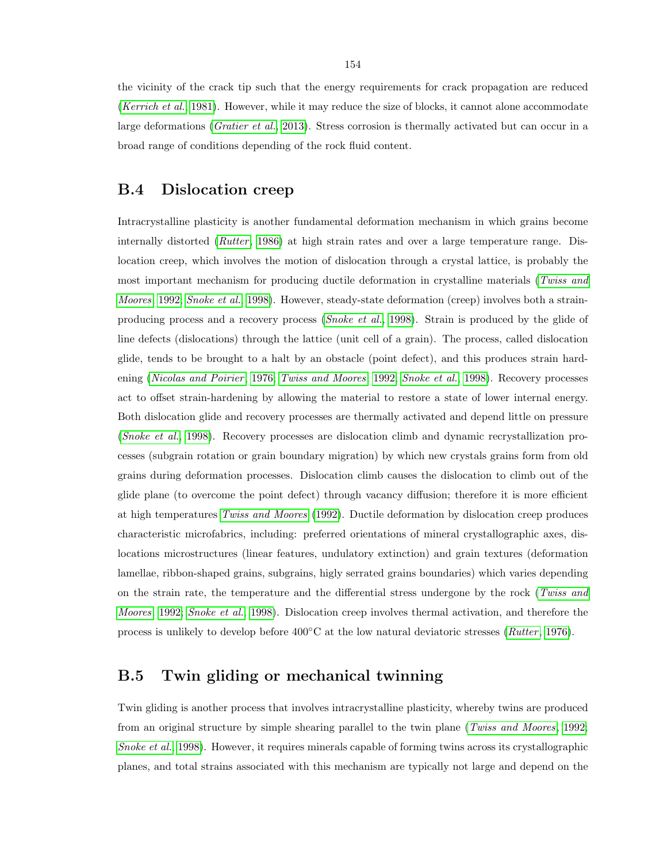the vicinity of the crack tip such that the energy requirements for crack propagation are reduced (Kerrich et al., 1981). However, while it may reduce the size of blocks, it cannot alone accommodate large deformations (Gratier et al., 2013). Stress corrosion is thermally activated but can occur in a broad range of conditions depending of the rock fluid content.

#### B.4 Dislocation creep

Intracrystalline plasticity is another fundamental deformation mechanism in which grains become internally distorted (*Rutter*, 1986) at high strain rates and over a large temperature range. Dislocation creep, which involves the motion of dislocation through a crystal lattice, is probably the most important mechanism for producing ductile deformation in crystalline materials (Twiss and Moores, 1992; Snoke et al., 1998). However, steady-state deformation (creep) involves both a strainproducing process and a recovery process (Snoke et al., 1998). Strain is produced by the glide of line defects (dislocations) through the lattice (unit cell of a grain). The process, called dislocation glide, tends to be brought to a halt by an obstacle (point defect), and this produces strain hardening (Nicolas and Poirier, 1976; Twiss and Moores, 1992; Snoke et al., 1998). Recovery processes act to offset strain-hardening by allowing the material to restore a state of lower internal energy. Both dislocation glide and recovery processes are thermally activated and depend little on pressure (Snoke et al., 1998). Recovery processes are dislocation climb and dynamic recrystallization processes (subgrain rotation or grain boundary migration) by which new crystals grains form from old grains during deformation processes. Dislocation climb causes the dislocation to climb out of the glide plane (to overcome the point defect) through vacancy diffusion; therefore it is more efficient at high temperatures Twiss and Moores (1992). Ductile deformation by dislocation creep produces characteristic microfabrics, including: preferred orientations of mineral crystallographic axes, dislocations microstructures (linear features, undulatory extinction) and grain textures (deformation lamellae, ribbon-shaped grains, subgrains, higly serrated grains boundaries) which varies depending on the strain rate, the temperature and the differential stress undergone by the rock (Twiss and Moores, 1992; Snoke et al., 1998). Dislocation creep involves thermal activation, and therefore the process is unlikely to develop before  $400\degree C$  at the low natural deviatoric stresses (*Rutter*, 1976).

#### B.5 Twin gliding or mechanical twinning

Twin gliding is another process that involves intracrystalline plasticity, whereby twins are produced from an original structure by simple shearing parallel to the twin plane (Twiss and Moores, 1992; Snoke et al., 1998). However, it requires minerals capable of forming twins across its crystallographic planes, and total strains associated with this mechanism are typically not large and depend on the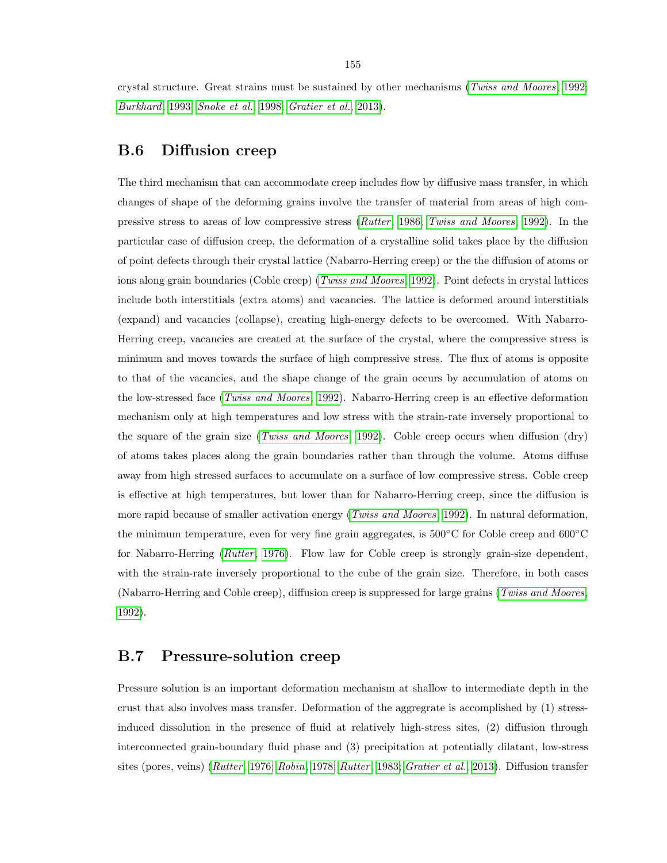crystal structure. Great strains must be sustained by other mechanisms (Twiss and Moores, 1992; Burkhard, 1993; Snoke et al., 1998; Gratier et al., 2013).

### B.6 Diffusion creep

The third mechanism that can accommodate creep includes flow by diffusive mass transfer, in which changes of shape of the deforming grains involve the transfer of material from areas of high compressive stress to areas of low compressive stress (*Rutter*, 1986; Twiss and Moores, 1992). In the particular case of diffusion creep, the deformation of a crystalline solid takes place by the diffusion of point defects through their crystal lattice (Nabarro-Herring creep) or the the diffusion of atoms or ions along grain boundaries (Coble creep) (*Twiss and Moores*, 1992). Point defects in crystal lattices include both interstitials (extra atoms) and vacancies. The lattice is deformed around interstitials (expand) and vacancies (collapse), creating high-energy defects to be overcomed. With Nabarro-Herring creep, vacancies are created at the surface of the crystal, where the compressive stress is minimum and moves towards the surface of high compressive stress. The flux of atoms is opposite to that of the vacancies, and the shape change of the grain occurs by accumulation of atoms on the low-stressed face (Twiss and Moores, 1992). Nabarro-Herring creep is an effective deformation mechanism only at high temperatures and low stress with the strain-rate inversely proportional to the square of the grain size (*Twiss and Moores*, 1992). Coble creep occurs when diffusion (dry) of atoms takes places along the grain boundaries rather than through the volume. Atoms diffuse away from high stressed surfaces to accumulate on a surface of low compressive stress. Coble creep is effective at high temperatures, but lower than for Nabarro-Herring creep, since the diffusion is more rapid because of smaller activation energy (*Twiss and Moores*, 1992). In natural deformation, the minimum temperature, even for very fine grain aggregates, is 500◦C for Coble creep and 600◦C for Nabarro-Herring ( $Rutter$ , 1976). Flow law for Coble creep is strongly grain-size dependent, with the strain-rate inversely proportional to the cube of the grain size. Therefore, in both cases (Nabarro-Herring and Coble creep), diffusion creep is suppressed for large grains (Twiss and Moores, 1992).

#### B.7 Pressure-solution creep

Pressure solution is an important deformation mechanism at shallow to intermediate depth in the crust that also involves mass transfer. Deformation of the aggregrate is accomplished by (1) stressinduced dissolution in the presence of fluid at relatively high-stress sites, (2) diffusion through interconnected grain-boundary fluid phase and (3) precipitation at potentially dilatant, low-stress sites (pores, veins) (Rutter, 1976; Robin, 1978; Rutter, 1983; Gratier et al., 2013). Diffusion transfer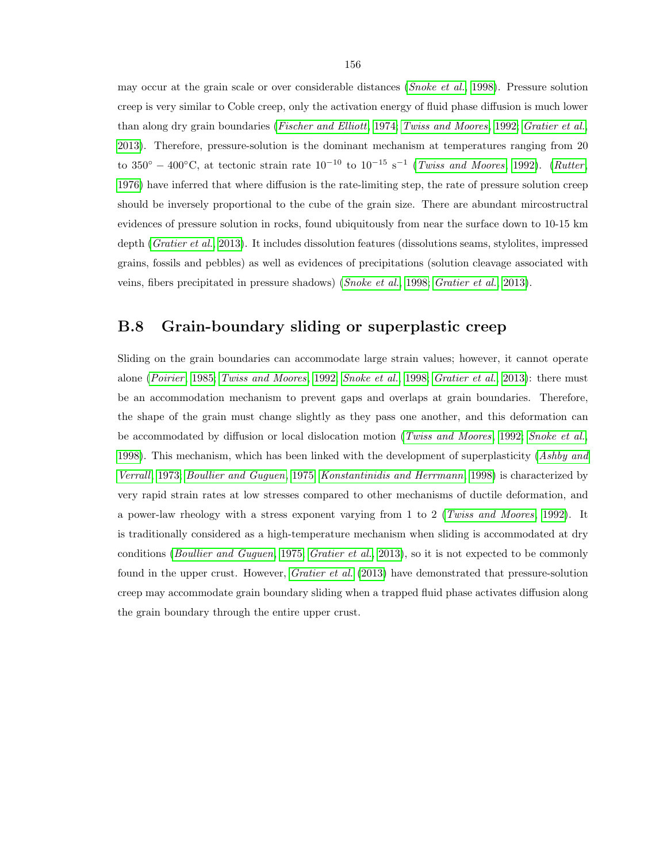may occur at the grain scale or over considerable distances (Snoke et al., 1998). Pressure solution creep is very similar to Coble creep, only the activation energy of fluid phase diffusion is much lower than along dry grain boundaries (Fischer and Elliott, 1974; Twiss and Moores, 1992; Gratier et al., 2013). Therefore, pressure-solution is the dominant mechanism at temperatures ranging from 20 to 350<sup>°</sup> – 400°C, at tectonic strain rate  $10^{-10}$  to  $10^{-15}$  s<sup>-1</sup> (*Twiss and Moores*, 1992). (*Rutter*, 1976) have inferred that where diffusion is the rate-limiting step, the rate of pressure solution creep should be inversely proportional to the cube of the grain size. There are abundant mircostructral evidences of pressure solution in rocks, found ubiquitously from near the surface down to 10-15 km depth (Gratier et al., 2013). It includes dissolution features (dissolutions seams, stylolites, impressed grains, fossils and pebbles) as well as evidences of precipitations (solution cleavage associated with veins, fibers precipitated in pressure shadows) (Snoke et al., 1998; Gratier et al., 2013).

#### B.8 Grain-boundary sliding or superplastic creep

Sliding on the grain boundaries can accommodate large strain values; however, it cannot operate alone (Poirier, 1985; Twiss and Moores, 1992; Snoke et al., 1998; Gratier et al., 2013): there must be an accommodation mechanism to prevent gaps and overlaps at grain boundaries. Therefore, the shape of the grain must change slightly as they pass one another, and this deformation can be accommodated by diffusion or local dislocation motion (Twiss and Moores, 1992; Snoke et al., 1998). This mechanism, which has been linked with the development of superplasticity (Ashby and Verrall, 1973; Boullier and Guguen, 1975; Konstantinidis and Herrmann, 1998) is characterized by very rapid strain rates at low stresses compared to other mechanisms of ductile deformation, and a power-law rheology with a stress exponent varying from 1 to 2 (Twiss and Moores, 1992). It is traditionally considered as a high-temperature mechanism when sliding is accommodated at dry conditions (Boullier and Guguen, 1975; Gratier et al., 2013), so it is not expected to be commonly found in the upper crust. However, *Gratier et al.* (2013) have demonstrated that pressure-solution creep may accommodate grain boundary sliding when a trapped fluid phase activates diffusion along the grain boundary through the entire upper crust.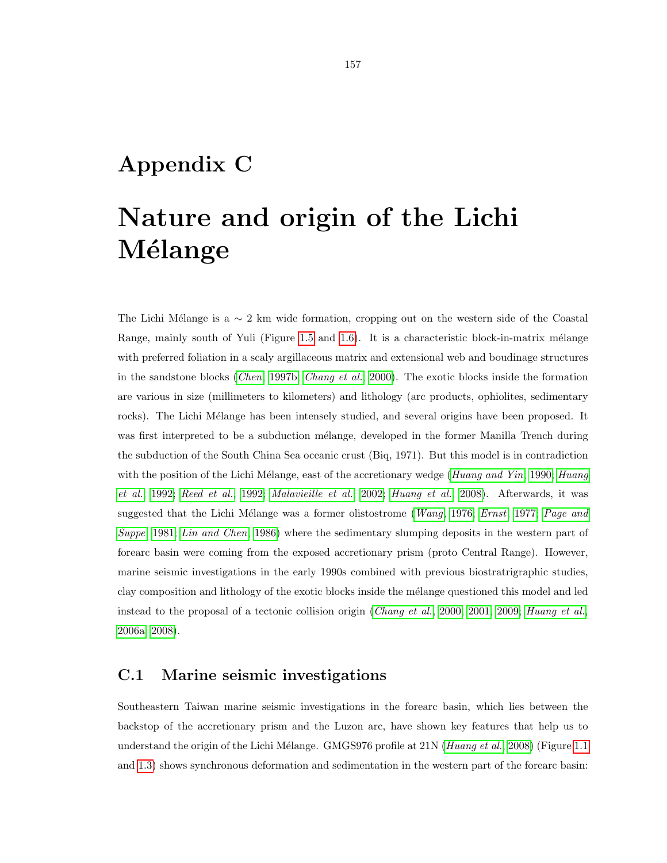# Appendix C

# Nature and origin of the Lichi Mélange

The Lichi Mélange is a  $\sim 2$  km wide formation, cropping out on the western side of the Coastal Range, mainly south of Yuli (Figure 1.5 and 1.6). It is a characteristic block-in-matrix mélange with preferred foliation in a scaly argillaceous matrix and extensional web and boudinage structures in the sandstone blocks (Chen, 1997b; Chang et al., 2000). The exotic blocks inside the formation are various in size (millimeters to kilometers) and lithology (arc products, ophiolites, sedimentary rocks). The Lichi Mélange has been intensely studied, and several origins have been proposed. It was first interpreted to be a subduction mélange, developed in the former Manilla Trench during the subduction of the South China Sea oceanic crust (Biq, 1971). But this model is in contradiction with the position of the Lichi Mélange, east of the accretionary wedge (Huang and Yin, 1990; Huang et al., 1992; Reed et al., 1992; Malavieille et al., 2002; Huang et al., 2008). Afterwards, it was suggested that the Lichi Mélange was a former olistostrome (Wang, 1976; Ernst, 1977; Page and Suppe, 1981; Lin and Chen, 1986) where the sedimentary slumping deposits in the western part of forearc basin were coming from the exposed accretionary prism (proto Central Range). However, marine seismic investigations in the early 1990s combined with previous biostratrigraphic studies, clay composition and lithology of the exotic blocks inside the mélange questioned this model and led instead to the proposal of a tectonic collision origin (Chang et al., 2000, 2001, 2009; Huang et al., 2006a, 2008).

#### C.1 Marine seismic investigations

Southeastern Taiwan marine seismic investigations in the forearc basin, which lies between the backstop of the accretionary prism and the Luzon arc, have shown key features that help us to understand the origin of the Lichi Mélange. GMGS976 profile at  $21N$  (Huang et al., 2008) (Figure 1.1 and 1.3) shows synchronous deformation and sedimentation in the western part of the forearc basin: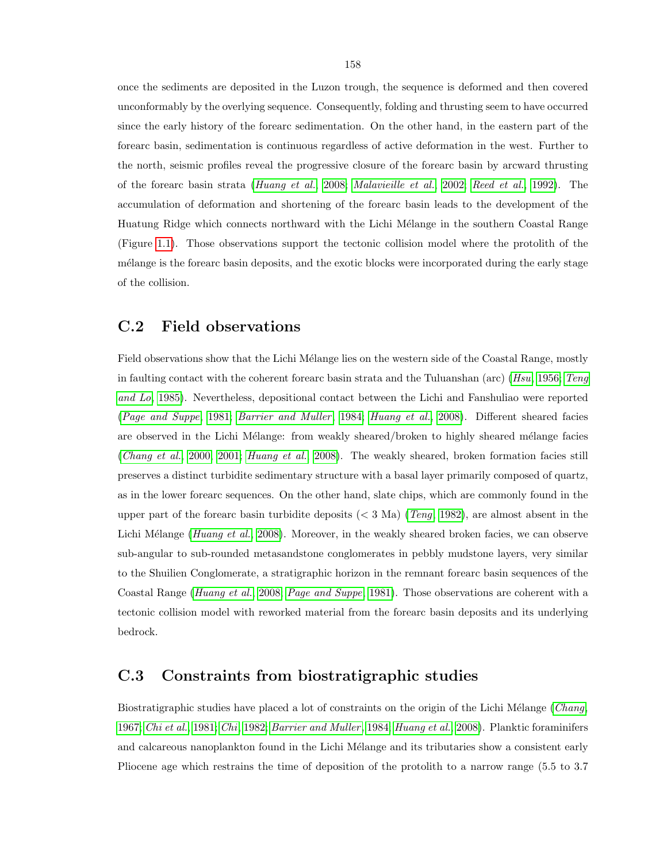once the sediments are deposited in the Luzon trough, the sequence is deformed and then covered unconformably by the overlying sequence. Consequently, folding and thrusting seem to have occurred since the early history of the forearc sedimentation. On the other hand, in the eastern part of the forearc basin, sedimentation is continuous regardless of active deformation in the west. Further to the north, seismic profiles reveal the progressive closure of the forearc basin by arcward thrusting of the forearc basin strata (Huang et al., 2008; Malavieille et al., 2002; Reed et al., 1992). The accumulation of deformation and shortening of the forearc basin leads to the development of the Huatung Ridge which connects northward with the Lichi Mélange in the southern Coastal Range (Figure 1.1). Those observations support the tectonic collision model where the protolith of the mélange is the forearc basin deposits, and the exotic blocks were incorporated during the early stage of the collision.

#### C.2 Field observations

Field observations show that the Lichi Mélange lies on the western side of the Coastal Range, mostly in faulting contact with the coherent forearc basin strata and the Tuluanshan (arc) (Hsu, 1956; Teng and Lo, 1985). Nevertheless, depositional contact between the Lichi and Fanshuliao were reported (Page and Suppe, 1981; Barrier and Muller, 1984; Huang et al., 2008). Different sheared facies are observed in the Lichi Mélange: from weakly sheared/broken to highly sheared mélange facies (Chang et al., 2000, 2001; Huang et al., 2008). The weakly sheared, broken formation facies still preserves a distinct turbidite sedimentary structure with a basal layer primarily composed of quartz, as in the lower forearc sequences. On the other hand, slate chips, which are commonly found in the upper part of the forearc basin turbidite deposits ( $\langle$  3 Ma) (Teng, 1982), are almost absent in the Lichi Mélange (Huang et al., 2008). Moreover, in the weakly sheared broken facies, we can observe sub-angular to sub-rounded metasandstone conglomerates in pebbly mudstone layers, very similar to the Shuilien Conglomerate, a stratigraphic horizon in the remnant forearc basin sequences of the Coastal Range (Huang et al., 2008; Page and Suppe, 1981). Those observations are coherent with a tectonic collision model with reworked material from the forearc basin deposits and its underlying bedrock.

#### C.3 Constraints from biostratigraphic studies

Biostratigraphic studies have placed a lot of constraints on the origin of the Lichi Mélange (Chang, 1967; Chi et al., 1981; Chi, 1982; Barrier and Muller, 1984; Huang et al., 2008). Planktic foraminifers and calcareous nanoplankton found in the Lichi Mélange and its tributaries show a consistent early Pliocene age which restrains the time of deposition of the protolith to a narrow range (5.5 to 3.7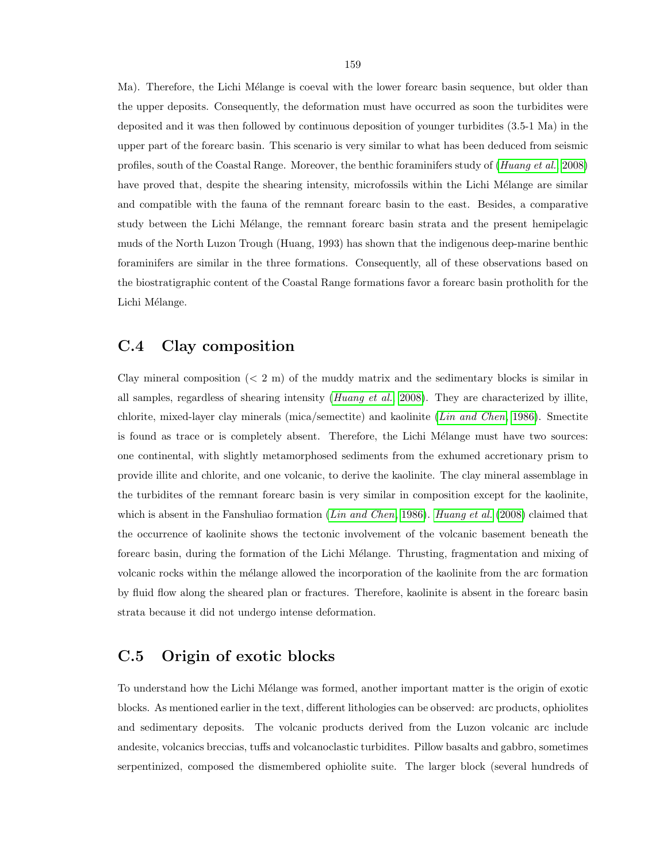Ma). Therefore, the Lichi Mélange is coeval with the lower forearc basin sequence, but older than the upper deposits. Consequently, the deformation must have occurred as soon the turbidites were deposited and it was then followed by continuous deposition of younger turbidites (3.5-1 Ma) in the upper part of the forearc basin. This scenario is very similar to what has been deduced from seismic profiles, south of the Coastal Range. Moreover, the benthic foraminifers study of (Huang et al., 2008) have proved that, despite the shearing intensity, microfossils within the Lichi Mélange are similar and compatible with the fauna of the remnant forearc basin to the east. Besides, a comparative study between the Lichi Mélange, the remnant forearc basin strata and the present hemipelagic muds of the North Luzon Trough (Huang, 1993) has shown that the indigenous deep-marine benthic foraminifers are similar in the three formations. Consequently, all of these observations based on the biostratigraphic content of the Coastal Range formations favor a forearc basin protholith for the Lichi Mélange.

#### C.4 Clay composition

Clay mineral composition  $(< 2 \text{ m})$  of the muddy matrix and the sedimentary blocks is similar in all samples, regardless of shearing intensity (*Huang et al.*, 2008). They are characterized by illite, chlorite, mixed-layer clay minerals (mica/semectite) and kaolinite (Lin and Chen, 1986). Smectite is found as trace or is completely absent. Therefore, the Lichi Mélange must have two sources: one continental, with slightly metamorphosed sediments from the exhumed accretionary prism to provide illite and chlorite, and one volcanic, to derive the kaolinite. The clay mineral assemblage in the turbidites of the remnant forearc basin is very similar in composition except for the kaolinite, which is absent in the Fanshuliao formation (*Lin and Chen*, 1986). *Huang et al.* (2008) claimed that the occurrence of kaolinite shows the tectonic involvement of the volcanic basement beneath the forearc basin, during the formation of the Lichi Mélange. Thrusting, fragmentation and mixing of volcanic rocks within the m´elange allowed the incorporation of the kaolinite from the arc formation by fluid flow along the sheared plan or fractures. Therefore, kaolinite is absent in the forearc basin strata because it did not undergo intense deformation.

## C.5 Origin of exotic blocks

To understand how the Lichi Mélange was formed, another important matter is the origin of exotic blocks. As mentioned earlier in the text, different lithologies can be observed: arc products, ophiolites and sedimentary deposits. The volcanic products derived from the Luzon volcanic arc include andesite, volcanics breccias, tuffs and volcanoclastic turbidites. Pillow basalts and gabbro, sometimes serpentinized, composed the dismembered ophiolite suite. The larger block (several hundreds of